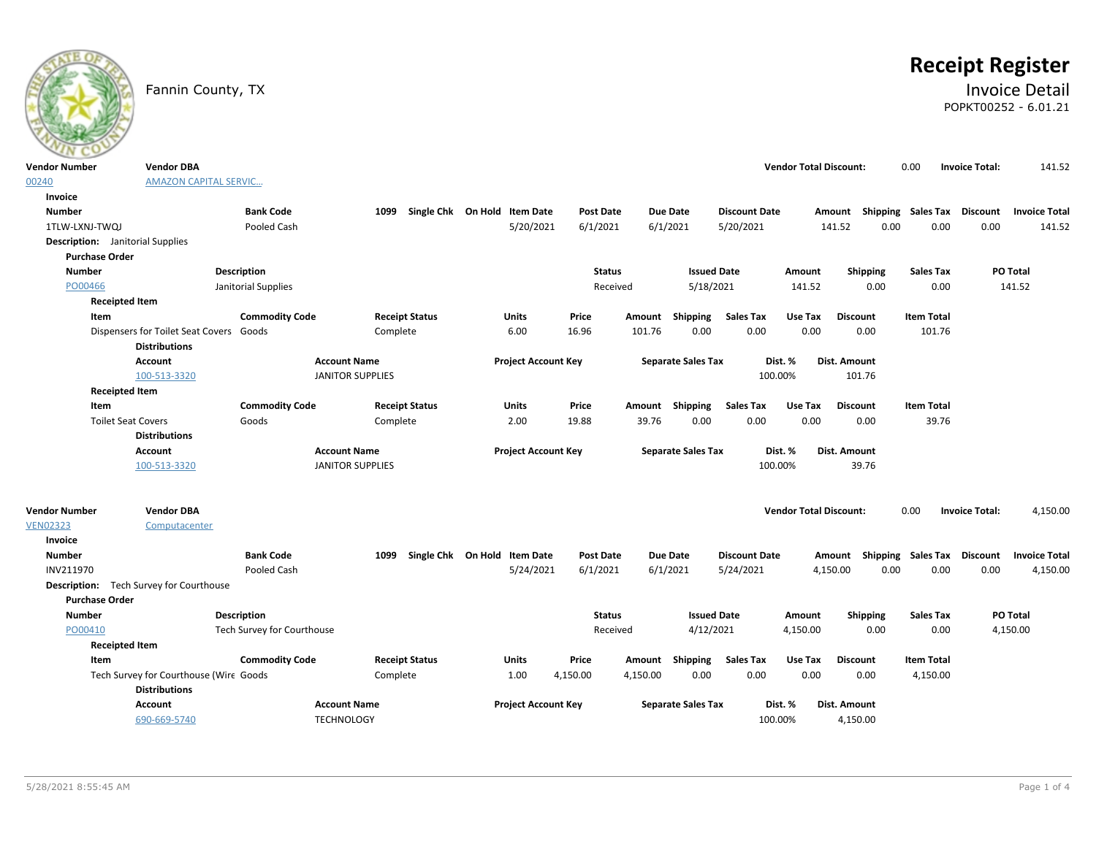

# **Receipt Register**

## Fannin County, TX **Invoice Detail** POPKT00252 - 6.01.21

| <b>Vendor Number</b>  | <b>Vendor DBA</b>                              |                            |                         |                              |                  |                           |                      | <b>Vendor Total Discount:</b> |                           | 0.00              | <b>Invoice Total:</b> | 141.52               |
|-----------------------|------------------------------------------------|----------------------------|-------------------------|------------------------------|------------------|---------------------------|----------------------|-------------------------------|---------------------------|-------------------|-----------------------|----------------------|
| 00240                 | <b>AMAZON CAPITAL SERVIC</b>                   |                            |                         |                              |                  |                           |                      |                               |                           |                   |                       |                      |
| Invoice               |                                                |                            |                         |                              |                  |                           |                      |                               |                           |                   |                       |                      |
| <b>Number</b>         |                                                | <b>Bank Code</b>           | 1099                    | Single Chk On Hold Item Date | <b>Post Date</b> | <b>Due Date</b>           | <b>Discount Date</b> |                               | Amount Shipping Sales Tax |                   | <b>Discount</b>       | <b>Invoice Total</b> |
| 1TLW-LXNJ-TWQJ        |                                                | Pooled Cash                |                         | 5/20/2021                    | 6/1/2021         | 6/1/2021                  | 5/20/2021            |                               | 141.52<br>0.00            | 0.00              | 0.00                  | 141.52               |
|                       | <b>Description:</b> Janitorial Supplies        |                            |                         |                              |                  |                           |                      |                               |                           |                   |                       |                      |
| <b>Purchase Order</b> |                                                |                            |                         |                              |                  |                           |                      |                               |                           |                   |                       |                      |
| <b>Number</b>         |                                                | <b>Description</b>         |                         |                              | <b>Status</b>    |                           | <b>Issued Date</b>   | Amount                        | Shipping                  | <b>Sales Tax</b>  |                       | PO Total             |
| PO00466               |                                                | Janitorial Supplies        |                         |                              | Received         |                           | 5/18/2021            | 141.52                        | 0.00                      | 0.00              |                       | 141.52               |
|                       | <b>Receipted Item</b>                          |                            |                         |                              |                  |                           |                      |                               |                           |                   |                       |                      |
| Item                  |                                                | <b>Commodity Code</b>      | <b>Receipt Status</b>   | <b>Units</b>                 | Price            | Shipping<br>Amount        | <b>Sales Tax</b>     | Use Tax                       | <b>Discount</b>           | <b>Item Total</b> |                       |                      |
|                       | Dispensers for Toilet Seat Covers Goods        |                            | Complete                | 6.00                         | 16.96            | 101.76<br>0.00            | 0.00                 | 0.00                          | 0.00                      | 101.76            |                       |                      |
|                       | <b>Distributions</b>                           |                            |                         |                              |                  |                           |                      |                               |                           |                   |                       |                      |
|                       | <b>Account</b>                                 | <b>Account Name</b>        |                         | <b>Project Account Key</b>   |                  | <b>Separate Sales Tax</b> |                      | Dist. %                       | Dist. Amount              |                   |                       |                      |
|                       | 100-513-3320                                   |                            | <b>JANITOR SUPPLIES</b> |                              |                  |                           |                      | 100.00%                       | 101.76                    |                   |                       |                      |
|                       | <b>Receipted Item</b>                          |                            |                         |                              |                  |                           |                      |                               |                           |                   |                       |                      |
| Item                  |                                                | <b>Commodity Code</b>      | <b>Receipt Status</b>   | <b>Units</b>                 | Price            | Amount Shipping           | <b>Sales Tax</b>     | Use Tax                       | <b>Discount</b>           | <b>Item Total</b> |                       |                      |
|                       | <b>Toilet Seat Covers</b>                      | Goods                      | Complete                | 2.00                         | 19.88            | 0.00<br>39.76             | 0.00                 | 0.00                          | 0.00                      | 39.76             |                       |                      |
|                       | <b>Distributions</b>                           |                            |                         |                              |                  |                           |                      |                               |                           |                   |                       |                      |
|                       |                                                |                            |                         |                              |                  |                           |                      |                               |                           |                   |                       |                      |
|                       | Account                                        | <b>Account Name</b>        |                         | <b>Project Account Key</b>   |                  | <b>Separate Sales Tax</b> |                      | Dist. %                       | Dist. Amount              |                   |                       |                      |
|                       | 100-513-3320                                   |                            | <b>JANITOR SUPPLIES</b> |                              |                  |                           |                      | 100.00%                       | 39.76                     |                   |                       |                      |
|                       |                                                |                            |                         |                              |                  |                           |                      |                               |                           |                   |                       |                      |
| <b>Vendor Number</b>  | <b>Vendor DBA</b>                              |                            |                         |                              |                  |                           |                      | <b>Vendor Total Discount:</b> |                           | 0.00              | <b>Invoice Total:</b> | 4,150.00             |
| <b>VEN02323</b>       | Computacenter                                  |                            |                         |                              |                  |                           |                      |                               |                           |                   |                       |                      |
| <b>Invoice</b>        |                                                |                            |                         |                              |                  |                           |                      |                               |                           |                   |                       |                      |
| <b>Number</b>         |                                                | <b>Bank Code</b>           | 1099                    | Single Chk On Hold Item Date | <b>Post Date</b> | <b>Due Date</b>           | <b>Discount Date</b> |                               | Shipping<br>Amount        | <b>Sales Tax</b>  | <b>Discount</b>       | <b>Invoice Total</b> |
| INV211970             |                                                | Pooled Cash                |                         | 5/24/2021                    | 6/1/2021         | 6/1/2021                  | 5/24/2021            |                               | 0.00<br>4,150.00          | 0.00              | 0.00                  | 4,150.00             |
|                       | <b>Description:</b> Tech Survey for Courthouse |                            |                         |                              |                  |                           |                      |                               |                           |                   |                       |                      |
| <b>Purchase Order</b> |                                                |                            |                         |                              |                  |                           |                      |                               |                           |                   |                       |                      |
| <b>Number</b>         |                                                | <b>Description</b>         |                         |                              | <b>Status</b>    |                           | <b>Issued Date</b>   | Amount                        | Shipping                  | <b>Sales Tax</b>  |                       | <b>PO Total</b>      |
| PO00410               |                                                | Tech Survey for Courthouse |                         |                              | Received         |                           | 4/12/2021            | 4,150.00                      | 0.00                      | 0.00              |                       | 4,150.00             |
|                       | <b>Receipted Item</b>                          |                            |                         |                              |                  |                           |                      |                               |                           |                   |                       |                      |
| Item                  |                                                | <b>Commodity Code</b>      | <b>Receipt Status</b>   | Units                        | Price            | Amount Shipping           | <b>Sales Tax</b>     | Use Tax                       | <b>Discount</b>           | <b>Item Total</b> |                       |                      |
|                       | Tech Survey for Courthouse (Wire Goods         |                            | Complete                | 1.00                         | 4,150.00         | 4,150.00<br>0.00          | 0.00                 | 0.00                          | 0.00                      | 4,150.00          |                       |                      |
|                       | <b>Distributions</b>                           |                            |                         |                              |                  |                           |                      |                               |                           |                   |                       |                      |
|                       | <b>Account</b>                                 | <b>Account Name</b>        |                         | <b>Project Account Key</b>   |                  | <b>Separate Sales Tax</b> |                      | Dist. %<br>100.00%            | Dist. Amount<br>4,150.00  |                   |                       |                      |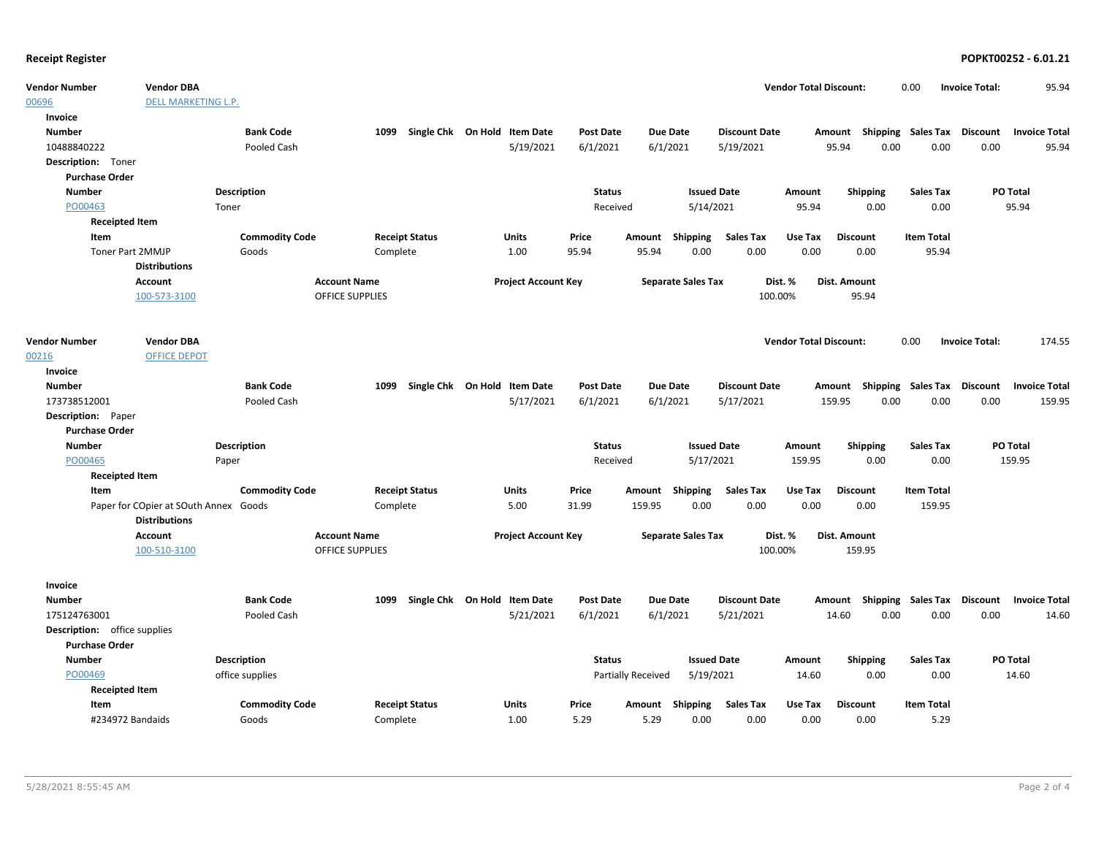| <b>Vendor Number</b>         | <b>Vendor DBA</b>                                             |                       |                        |                                      |                              |                  |                           |                           |                      | <b>Vendor Total Discount:</b> |                                    | 0.00              | <b>Invoice Total:</b> | 95.94                |
|------------------------------|---------------------------------------------------------------|-----------------------|------------------------|--------------------------------------|------------------------------|------------------|---------------------------|---------------------------|----------------------|-------------------------------|------------------------------------|-------------------|-----------------------|----------------------|
| 00696                        | <b>DELL MARKETING L.P.</b>                                    |                       |                        |                                      |                              |                  |                           |                           |                      |                               |                                    |                   |                       |                      |
| Invoice                      |                                                               |                       |                        |                                      |                              |                  |                           |                           |                      |                               |                                    |                   |                       |                      |
| <b>Number</b>                |                                                               | <b>Bank Code</b>      |                        | Single Chk On Hold Item Date<br>1099 |                              | <b>Post Date</b> |                           | Due Date                  | <b>Discount Date</b> |                               | Amount Shipping Sales Tax Discount |                   |                       | <b>Invoice Total</b> |
| 10488840222                  |                                                               | <b>Pooled Cash</b>    |                        |                                      | 5/19/2021                    | 6/1/2021         |                           | 6/1/2021                  | 5/19/2021            |                               | 95.94<br>0.00                      | 0.00              | 0.00                  | 95.94                |
| Description: Toner           |                                                               |                       |                        |                                      |                              |                  |                           |                           |                      |                               |                                    |                   |                       |                      |
| <b>Purchase Order</b>        |                                                               |                       |                        |                                      |                              |                  |                           |                           |                      |                               |                                    |                   |                       |                      |
| <b>Number</b>                |                                                               | <b>Description</b>    |                        |                                      |                              | <b>Status</b>    |                           |                           | <b>Issued Date</b>   | Amount                        | <b>Shipping</b>                    | <b>Sales Tax</b>  |                       | PO Total             |
| PO00463                      |                                                               | Toner                 |                        |                                      |                              | Received         |                           | 5/14/2021                 |                      | 95.94                         | 0.00                               | 0.00              |                       | 95.94                |
| <b>Receipted Item</b>        |                                                               |                       |                        |                                      |                              |                  |                           |                           |                      |                               |                                    |                   |                       |                      |
| Item                         |                                                               | <b>Commodity Code</b> |                        | <b>Receipt Status</b>                | Units                        | Price            |                           | Amount Shipping           | Sales Tax            | Use Tax                       | <b>Discount</b>                    | <b>Item Total</b> |                       |                      |
| <b>Toner Part 2MMJP</b>      |                                                               | Goods                 |                        | Complete                             | 1.00                         | 95.94            | 95.94                     | 0.00                      | 0.00                 | 0.00                          | 0.00                               | 95.94             |                       |                      |
|                              | <b>Distributions</b>                                          |                       |                        |                                      |                              |                  |                           |                           |                      |                               |                                    |                   |                       |                      |
|                              | Account                                                       |                       | <b>Account Name</b>    |                                      | <b>Project Account Key</b>   |                  |                           | <b>Separate Sales Tax</b> |                      | Dist. %                       | Dist. Amount                       |                   |                       |                      |
|                              | 100-573-3100                                                  |                       | <b>OFFICE SUPPLIES</b> |                                      |                              |                  |                           |                           |                      | 100.00%                       | 95.94                              |                   |                       |                      |
|                              |                                                               |                       |                        |                                      |                              |                  |                           |                           |                      |                               |                                    |                   |                       |                      |
| <b>Vendor Number</b>         | <b>Vendor DBA</b>                                             |                       |                        |                                      |                              |                  |                           |                           |                      | <b>Vendor Total Discount:</b> |                                    | 0.00              | <b>Invoice Total:</b> | 174.55               |
| 00216                        | <b>OFFICE DEPOT</b>                                           |                       |                        |                                      |                              |                  |                           |                           |                      |                               |                                    |                   |                       |                      |
| Invoice                      |                                                               |                       |                        |                                      |                              |                  |                           |                           |                      |                               |                                    |                   |                       |                      |
| <b>Number</b>                |                                                               | <b>Bank Code</b>      |                        | Single Chk On Hold Item Date<br>1099 |                              | <b>Post Date</b> |                           | Due Date                  | <b>Discount Date</b> |                               | Amount Shipping Sales Tax          |                   | Discount              | <b>Invoice Total</b> |
| 173738512001                 |                                                               | Pooled Cash           |                        |                                      | 5/17/2021                    | 6/1/2021         |                           | 6/1/2021                  | 5/17/2021            |                               | 159.95<br>0.00                     | 0.00              | 0.00                  | 159.95               |
| Description: Paper           |                                                               |                       |                        |                                      |                              |                  |                           |                           |                      |                               |                                    |                   |                       |                      |
| <b>Purchase Order</b>        |                                                               |                       |                        |                                      |                              |                  |                           |                           |                      |                               |                                    |                   |                       |                      |
| <b>Number</b>                |                                                               | <b>Description</b>    |                        |                                      |                              | <b>Status</b>    |                           |                           | <b>Issued Date</b>   | Amount                        | Shipping                           | <b>Sales Tax</b>  |                       | PO Total             |
| PO00465                      |                                                               | Paper                 |                        |                                      |                              | Received         |                           | 5/17/2021                 |                      | 159.95                        | 0.00                               | 0.00              |                       | 159.95               |
| <b>Receipted Item</b>        |                                                               |                       |                        |                                      |                              |                  |                           |                           |                      |                               |                                    |                   |                       |                      |
| Item                         |                                                               | <b>Commodity Code</b> |                        | <b>Receipt Status</b>                | Units                        | Price            | Amount                    | Shipping                  | <b>Sales Tax</b>     | Use Tax                       | <b>Discount</b>                    | <b>Item Total</b> |                       |                      |
|                              | Paper for COpier at SOuth Annex Goods<br><b>Distributions</b> |                       |                        | Complete                             | 5.00                         | 31.99            | 159.95                    | 0.00                      | 0.00                 | 0.00                          | 0.00                               | 159.95            |                       |                      |
|                              | Account                                                       |                       | <b>Account Name</b>    |                                      | <b>Project Account Key</b>   |                  |                           | <b>Separate Sales Tax</b> |                      | Dist. %                       | Dist. Amount                       |                   |                       |                      |
|                              | 100-510-3100                                                  |                       | <b>OFFICE SUPPLIES</b> |                                      |                              |                  |                           |                           |                      | 100.00%                       | 159.95                             |                   |                       |                      |
| Invoice                      |                                                               |                       |                        |                                      |                              |                  |                           |                           |                      |                               |                                    |                   |                       |                      |
| <b>Number</b>                |                                                               | <b>Bank Code</b>      |                        | 1099                                 | Single Chk On Hold Item Date | <b>Post Date</b> |                           | Due Date                  | <b>Discount Date</b> |                               | Amount Shipping Sales Tax          |                   | Discount              | <b>Invoice Total</b> |
| 175124763001                 |                                                               | Pooled Cash           |                        |                                      | 5/21/2021                    | 6/1/2021         |                           | 6/1/2021                  | 5/21/2021            |                               | 14.60<br>0.00                      | 0.00              | 0.00                  | 14.60                |
| Description: office supplies |                                                               |                       |                        |                                      |                              |                  |                           |                           |                      |                               |                                    |                   |                       |                      |
| <b>Purchase Order</b>        |                                                               |                       |                        |                                      |                              |                  |                           |                           |                      |                               |                                    |                   |                       |                      |
| <b>Number</b>                |                                                               | <b>Description</b>    |                        |                                      |                              | <b>Status</b>    |                           |                           | <b>Issued Date</b>   | Amount                        | <b>Shipping</b>                    | <b>Sales Tax</b>  |                       | PO Total             |
| PO00469                      |                                                               | office supplies       |                        |                                      |                              |                  | <b>Partially Received</b> | 5/19/2021                 |                      | 14.60                         | 0.00                               | 0.00              |                       | 14.60                |
| <b>Receipted Item</b>        |                                                               |                       |                        |                                      |                              |                  |                           |                           |                      |                               |                                    |                   |                       |                      |
| Item                         |                                                               | <b>Commodity Code</b> |                        | <b>Receipt Status</b>                | Units                        | Price            | Amount                    | Shipping                  | <b>Sales Tax</b>     | Use Tax                       | <b>Discount</b>                    | <b>Item Total</b> |                       |                      |
| #234972 Bandaids             |                                                               | Goods                 |                        | Complete                             | 1.00                         | 5.29             | 5.29                      | 0.00                      | 0.00                 | 0.00                          | 0.00                               | 5.29              |                       |                      |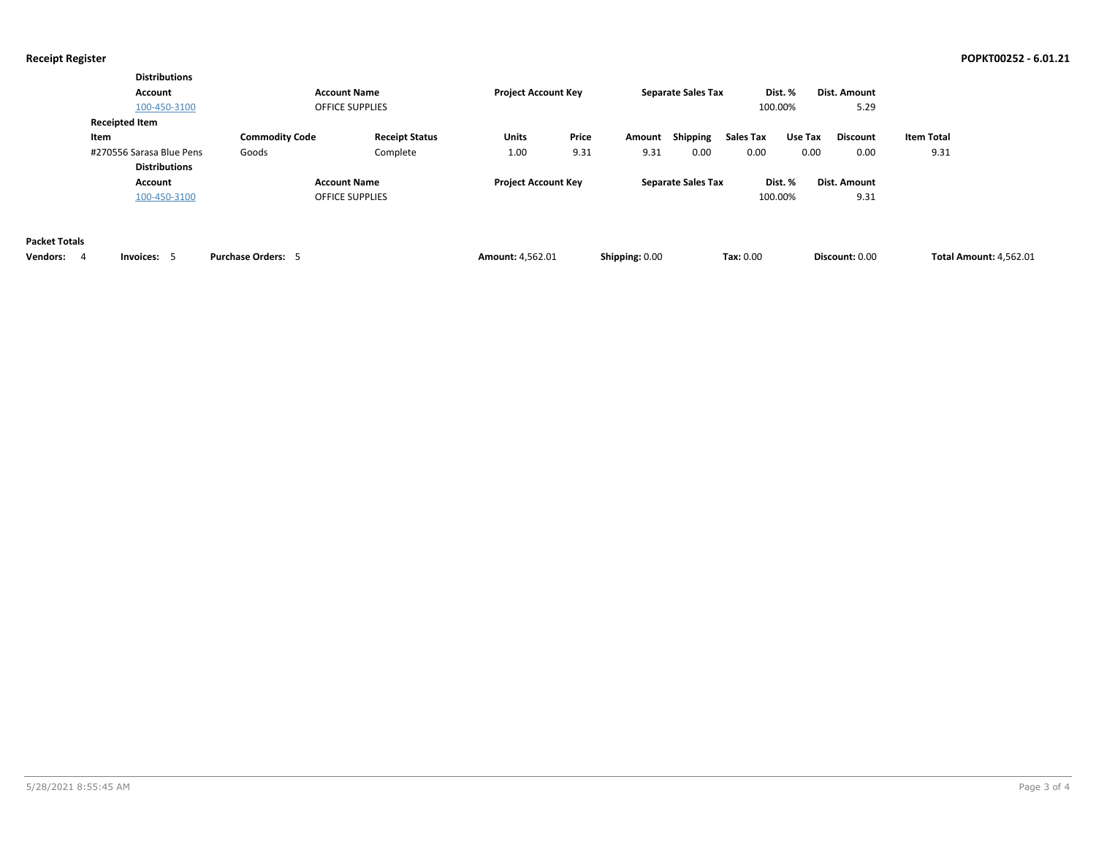|                                              | <b>Distributions</b><br>Account<br>100-450-3100                                   |                                | <b>Account Name</b><br><b>OFFICE SUPPLIES</b> | <b>Project Account Key</b> |               |                | <b>Separate Sales Tax</b> |                          | Dist. %<br>100.00% | <b>Dist. Amount</b><br>5.29 |                               |  |
|----------------------------------------------|-----------------------------------------------------------------------------------|--------------------------------|-----------------------------------------------|----------------------------|---------------|----------------|---------------------------|--------------------------|--------------------|-----------------------------|-------------------------------|--|
|                                              | <b>Receipted Item</b><br>Item<br>#270556 Sarasa Blue Pens<br><b>Distributions</b> | <b>Commodity Code</b><br>Goods | <b>Receipt Status</b><br>Complete             | Units<br>1.00              | Price<br>9.31 | Amount<br>9.31 | Shipping<br>0.00          | <b>Sales Tax</b><br>0.00 | Use Tax<br>0.00    | <b>Discount</b><br>0.00     | <b>Item Total</b><br>9.31     |  |
|                                              | Account<br>100-450-3100                                                           |                                | <b>Account Name</b><br><b>OFFICE SUPPLIES</b> | <b>Project Account Key</b> |               |                | <b>Separate Sales Tax</b> |                          | Dist. %<br>100.00% | <b>Dist. Amount</b><br>9.31 |                               |  |
| <b>Packet Totals</b><br><b>Vendors:</b><br>4 | Invoices: 5                                                                       | <b>Purchase Orders: 5</b>      |                                               | <b>Amount: 4,562.01</b>    |               | Shipping: 0.00 |                           | Tax: 0.00                |                    | Discount: 0.00              | <b>Total Amount: 4,562.01</b> |  |